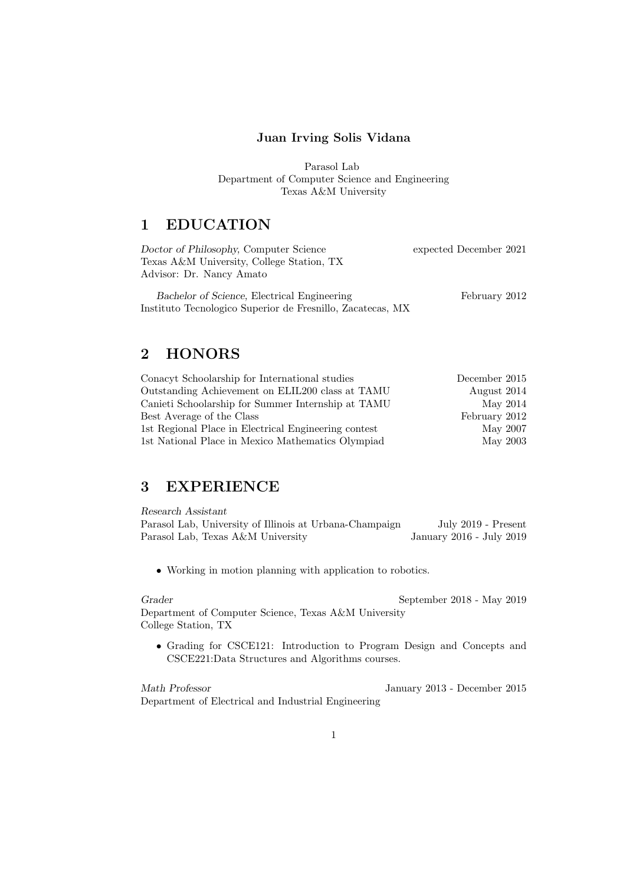#### Juan Irving Solis Vidana

Parasol Lab Department of Computer Science and Engineering Texas A&M University

## 1 EDUCATION

| Doctor of Philosophy, Computer Science     | expected December 2021      |
|--------------------------------------------|-----------------------------|
| Texas A&M University, College Station, TX  |                             |
| Advisor: Dr. Nancy Amato                   |                             |
| Dachelor of Coinnea Flootnical Engineering | $E_{\text{obs}}$ and $0.10$ |

Bachelor of Science, Electrical Engineering February 2012 Instituto Tecnologico Superior de Fresnillo, Zacatecas, MX

# 2 HONORS

| Conacyt Schoolarship for International studies       | December 2015 |
|------------------------------------------------------|---------------|
| Outstanding Achievement on ELIL200 class at TAMU     | August 2014   |
| Canieti Schoolarship for Summer Internship at TAMU   | May 2014      |
| Best Average of the Class                            | February 2012 |
| 1st Regional Place in Electrical Engineering contest | May 2007      |
| 1st National Place in Mexico Mathematics Olympiad    | May 2003      |

## 3 EXPERIENCE

Research Assistant

Parasol Lab, University of Illinois at Urbana-Champaign July 2019 - Present Parasol Lab, Texas A&M University January 2016 - July 2019

• Working in motion planning with application to robotics.

Grader September 2018 - May 2019 Department of Computer Science, Texas A&M University College Station, TX

• Grading for CSCE121: Introduction to Program Design and Concepts and CSCE221:Data Structures and Algorithms courses.

Math Professor January 2013 - December 2015 Department of Electrical and Industrial Engineering